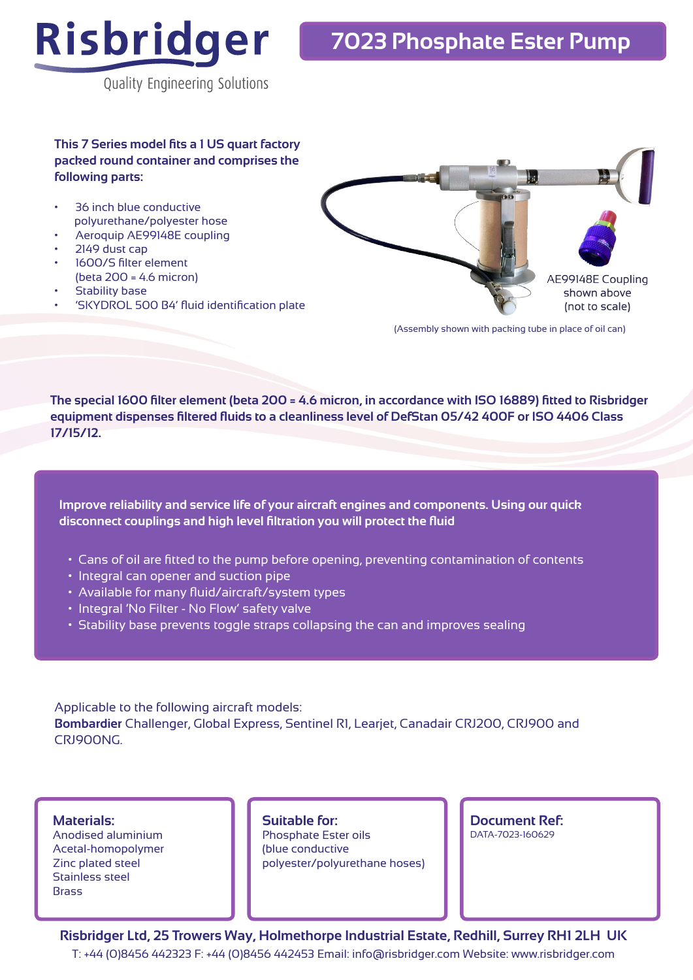

Quality Engineering Solutions

**This 7 Series model fits a 1 US quart factory packed round container and comprises the following parts:**

- 36 inch blue conductive polyurethane/polyester hose
- Aeroquip AE99148E coupling
- 2149 dust cap
- 1600/S filter element (beta 200 = 4.6 micron)
- Stability base
- 'SKYDROL 500 B4' fluid identification plate



(Assembly shown with packing tube in place of oil can)

**The special 1600 filter element (beta 200 = 4.6 micron, in accordance with ISO 16889) fitted to Risbridger equipment dispenses filtered fluids to a cleanliness level of DefStan 05/42 400F or ISO 4406 Class 17/15/12.**

**Improve reliability and service life of your aircraft engines and components. Using our quick disconnect couplings and high level filtration you will protect the fluid**

- Cans of oil are fitted to the pump before opening, preventing contamination of contents
- Integral can opener and suction pipe
- Available for many fluid/aircraft/system types
- Integral 'No Filter No Flow' safety valve
- Stability base prevents toggle straps collapsing the can and improves sealing

Applicable to the following aircraft models: **Bombardier** Challenger, Global Express, Sentinel R1, Learjet, Canadair CRJ200, CRJ900 and CRJ900NG.

**Materials:**

Anodised aluminium Acetal-homopolymer Zinc plated steel Stainless steel **Brass** 

**Suitable for:** Phosphate Ester oils (blue conductive polyester/polyurethane hoses) **Document Ref:**  DATA-7023-160629

**Risbridger Ltd, 25 Trowers Way, Holmethorpe Industrial Estate, Redhill, Surrey RH1 2LH UK** T: +44 (0)8456 442323 F: +44 (0)8456 442453 Email: info@risbridger.com Website: www.risbridger.com